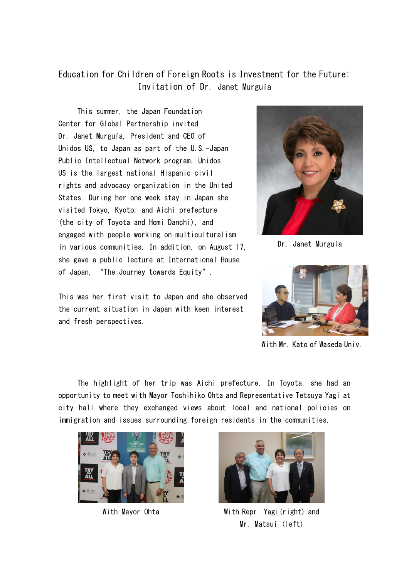## Education for Children of Foreign Roots is Investment for the Future: Invitation of Dr. Janet Murguía

This summer, the Japan Foundation Center for Global Partnership invited Dr. Janet Murguía, President and CEO of Unidos US, to Japan as part of the U.S.-Japan Public Intellectual Network program. Unidos US is the largest national Hispanic civil rights and advocacy organization in the United States. During her one week stay in Japan she visited Tokyo, Kyoto, and Aichi prefecture (the city of Toyota and Homi Danchi), and engaged with people working on multiculturalism in various communities. In addition, on August 17, she gave a public lecture at International House of Japan, "The Journey towards Equity".

This was her first visit to Japan and she observed the current situation in Japan with keen interest and fresh perspectives.



Dr. Janet Murguía



With Mr. Kato of Waseda Univ.

The highlight of her trip was Aichi prefecture. In Toyota, she had an opportunity to meet with Mayor Toshihiko Ohta and Representative Tetsuya Yagi at city hall where they exchanged views about local and national policies on immigration and issues surrounding foreign residents in the communities.





With Mayor Ohta With Repr. Yagi(right) and Mr. Matsui (left)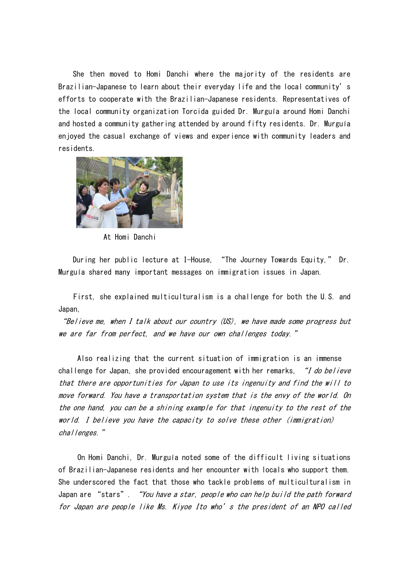She then moved to Homi Danchi where the majority of the residents are Brazilian-Japanese to learn about their everyday life and the local community's efforts to cooperate with the Brazilian-Japanese residents. Representatives of the local community organization Torcida guided Dr. Murguía around Homi Danchi and hosted a community gathering attended by around fifty residents. Dr. Murguía enjoyed the casual exchange of views and experience with community leaders and residents.



At Homi Danchi

During her public lecture at I-House, "The Journey Towards Equity," Dr. Murguía shared many important messages on immigration issues in Japan.

First, she explained multiculturalism is a challenge for both the U.S. and Japan,

"Believe me, when I talk about our country (US), we have made some progress but we are far from perfect, and we have our own challenges today."

Also realizing that the current situation of immigration is an immense challenge for Japan, she provided encouragement with her remarks, "I do believe that there are opportunities for Japan to use its ingenuity and find the will to move forward. You have a transportation system that is the envy of the world. On the one hand, you can be a shining example for that ingenuity to the rest of the world. I believe you have the capacity to solve these other (immigration) challenges."

 On Homi Danchi, Dr. Murguía noted some of the difficult living situations of Brazilian-Japanese residents and her encounter with locals who support them. She underscored the fact that those who tackle problems of multiculturalism in Japan are "stars". "You have a star, people who can help build the path forward for Japan are people like Ms. Kiyoe Ito who's the president of an NPO called